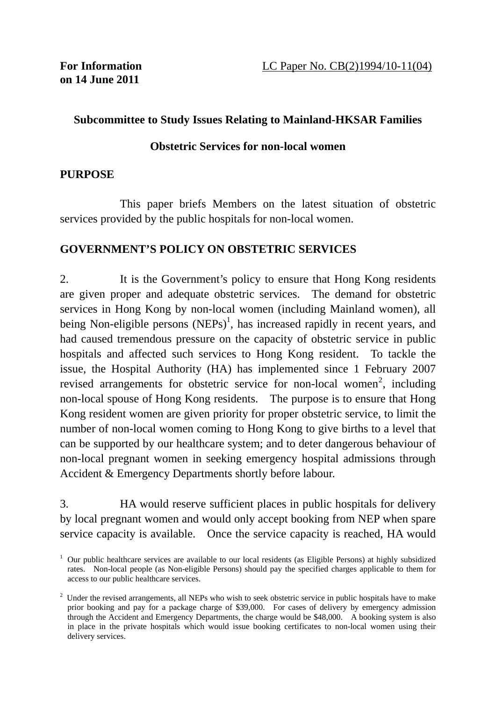### **Subcommittee to Study Issues Relating to Mainland-HKSAR Families**

### **Obstetric Services for non-local women**

#### **PURPOSE**

 This paper briefs Members on the latest situation of obstetric services provided by the public hospitals for non-local women.

### **GOVERNMENT'S POLICY ON OBSTETRIC SERVICES**

2. It is the Government's policy to ensure that Hong Kong residents are given proper and adequate obstetric services. The demand for obstetric services in Hong Kong by non-local women (including Mainland women), all being Non-eligible persons  $(NEPs)^1$ , has increased rapidly in recent years, and had caused tremendous pressure on the capacity of obstetric service in public hospitals and affected such services to Hong Kong resident. To tackle the issue, the Hospital Authority (HA) has implemented since 1 February 2007 revised arrangements for obstetric service for non-local women<sup>2</sup>, including non-local spouse of Hong Kong residents. The purpose is to ensure that Hong Kong resident women are given priority for proper obstetric service, to limit the number of non-local women coming to Hong Kong to give births to a level that can be supported by our healthcare system; and to deter dangerous behaviour of non-local pregnant women in seeking emergency hospital admissions through Accident & Emergency Departments shortly before labour.

3. HA would reserve sufficient places in public hospitals for delivery by local pregnant women and would only accept booking from NEP when spare service capacity is available. Once the service capacity is reached, HA would

<sup>&</sup>lt;sup>1</sup> Our public healthcare services are available to our local residents (as Eligible Persons) at highly subsidized rates. Non-local people (as Non-eligible Persons) should pay the specified charges applicable to them for access to our public healthcare services.

 $2$  Under the revised arrangements, all NEPs who wish to seek obstetric service in public hospitals have to make prior booking and pay for a package charge of \$39,000. For cases of delivery by emergency admission through the Accident and Emergency Departments, the charge would be \$48,000. A booking system is also in place in the private hospitals which would issue booking certificates to non-local women using their delivery services.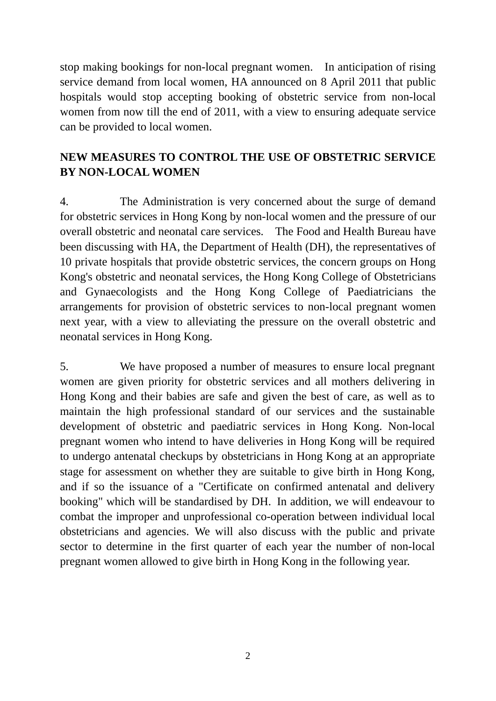stop making bookings for non-local pregnant women. In anticipation of rising service demand from local women, HA announced on 8 April 2011 that public hospitals would stop accepting booking of obstetric service from non-local women from now till the end of 2011, with a view to ensuring adequate service can be provided to local women.

# **NEW MEASURES TO CONTROL THE USE OF OBSTETRIC SERVICE BY NON-LOCAL WOMEN**

4. The Administration is very concerned about the surge of demand for obstetric services in Hong Kong by non-local women and the pressure of our overall obstetric and neonatal care services. The Food and Health Bureau have been discussing with HA, the Department of Health (DH), the representatives of 10 private hospitals that provide obstetric services, the concern groups on Hong Kong's obstetric and neonatal services, the Hong Kong College of Obstetricians and Gynaecologists and the Hong Kong College of Paediatricians the arrangements for provision of obstetric services to non-local pregnant women next year, with a view to alleviating the pressure on the overall obstetric and neonatal services in Hong Kong.

5. We have proposed a number of measures to ensure local pregnant women are given priority for obstetric services and all mothers delivering in Hong Kong and their babies are safe and given the best of care, as well as to maintain the high professional standard of our services and the sustainable development of obstetric and paediatric services in Hong Kong. Non-local pregnant women who intend to have deliveries in Hong Kong will be required to undergo antenatal checkups by obstetricians in Hong Kong at an appropriate stage for assessment on whether they are suitable to give birth in Hong Kong, and if so the issuance of a "Certificate on confirmed antenatal and delivery booking" which will be standardised by DH. In addition, we will endeavour to combat the improper and unprofessional co-operation between individual local obstetricians and agencies. We will also discuss with the public and private sector to determine in the first quarter of each year the number of non-local pregnant women allowed to give birth in Hong Kong in the following year.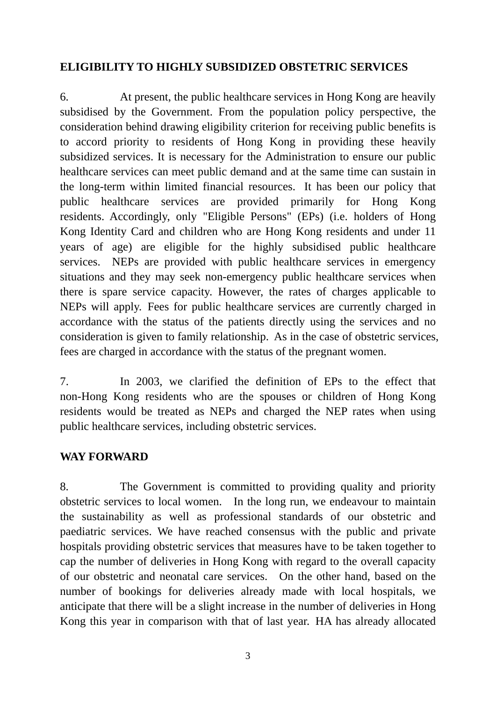### **ELIGIBILITY TO HIGHLY SUBSIDIZED OBSTETRIC SERVICES**

6. At present, the public healthcare services in Hong Kong are heavily subsidised by the Government. From the population policy perspective, the consideration behind drawing eligibility criterion for receiving public benefits is to accord priority to residents of Hong Kong in providing these heavily subsidized services. It is necessary for the Administration to ensure our public healthcare services can meet public demand and at the same time can sustain in the long-term within limited financial resources. It has been our policy that public healthcare services are provided primarily for Hong Kong residents. Accordingly, only "Eligible Persons" (EPs) (i.e. holders of Hong Kong Identity Card and children who are Hong Kong residents and under 11 years of age) are eligible for the highly subsidised public healthcare services. NEPs are provided with public healthcare services in emergency situations and they may seek non-emergency public healthcare services when there is spare service capacity. However, the rates of charges applicable to NEPs will apply. Fees for public healthcare services are currently charged in accordance with the status of the patients directly using the services and no consideration is given to family relationship. As in the case of obstetric services, fees are charged in accordance with the status of the pregnant women.

7. In 2003, we clarified the definition of EPs to the effect that non-Hong Kong residents who are the spouses or children of Hong Kong residents would be treated as NEPs and charged the NEP rates when using public healthcare services, including obstetric services.

### **WAY FORWARD**

8. The Government is committed to providing quality and priority obstetric services to local women. In the long run, we endeavour to maintain the sustainability as well as professional standards of our obstetric and paediatric services. We have reached consensus with the public and private hospitals providing obstetric services that measures have to be taken together to cap the number of deliveries in Hong Kong with regard to the overall capacity of our obstetric and neonatal care services. On the other hand, based on the number of bookings for deliveries already made with local hospitals, we anticipate that there will be a slight increase in the number of deliveries in Hong Kong this year in comparison with that of last year. HA has already allocated